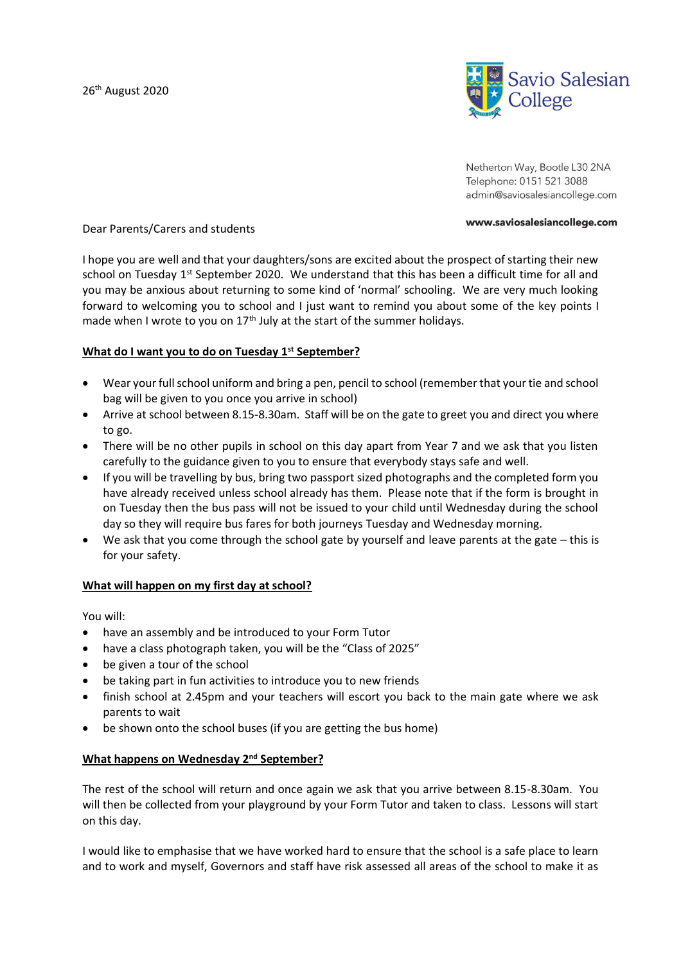

Netherton Way, Bootle L30 2NA Telephone: 0151 521 3088 admin@saviosalesiancollege.com

#### www.saviosalesiancollege.com

### Dear Parents/Carers and students

I hope you are well and that your daughters/sons are excited about the prospect of starting their new school on Tuesday 1<sup>st</sup> September 2020. We understand that this has been a difficult time for all and you may be anxious about returning to some kind of 'normal' schooling. We are very much looking forward to welcoming you to school and I just want to remind you about some of the key points I made when I wrote to you on  $17<sup>th</sup>$  July at the start of the summer holidays.

## **What do I want you to do on Tuesday 1st September?**

- Wear your full school uniform and bring a pen, pencil to school (remember that your tie and school bag will be given to you once you arrive in school)
- Arrive at school between 8.15-8.30am. Staff will be on the gate to greet you and direct you where to go.
- There will be no other pupils in school on this day apart from Year 7 and we ask that you listen carefully to the guidance given to you to ensure that everybody stays safe and well.
- If you will be travelling by bus, bring two passport sized photographs and the completed form you have already received unless school already has them. Please note that if the form is brought in on Tuesday then the bus pass will not be issued to your child until Wednesday during the school day so they will require bus fares for both journeys Tuesday and Wednesday morning.
- We ask that you come through the school gate by yourself and leave parents at the gate this is for your safety.

### **What will happen on my first day at school?**

You will:

- have an assembly and be introduced to your Form Tutor
- have a class photograph taken, you will be the "Class of 2025"
- be given a tour of the school
- be taking part in fun activities to introduce you to new friends
- finish school at 2.45pm and your teachers will escort you back to the main gate where we ask parents to wait
- be shown onto the school buses (if you are getting the bus home)

### **What happens on Wednesday 2nd September?**

The rest of the school will return and once again we ask that you arrive between 8.15-8.30am. You will then be collected from your playground by your Form Tutor and taken to class. Lessons will start on this day.

I would like to emphasise that we have worked hard to ensure that the school is a safe place to learn and to work and myself, Governors and staff have risk assessed all areas of the school to make it as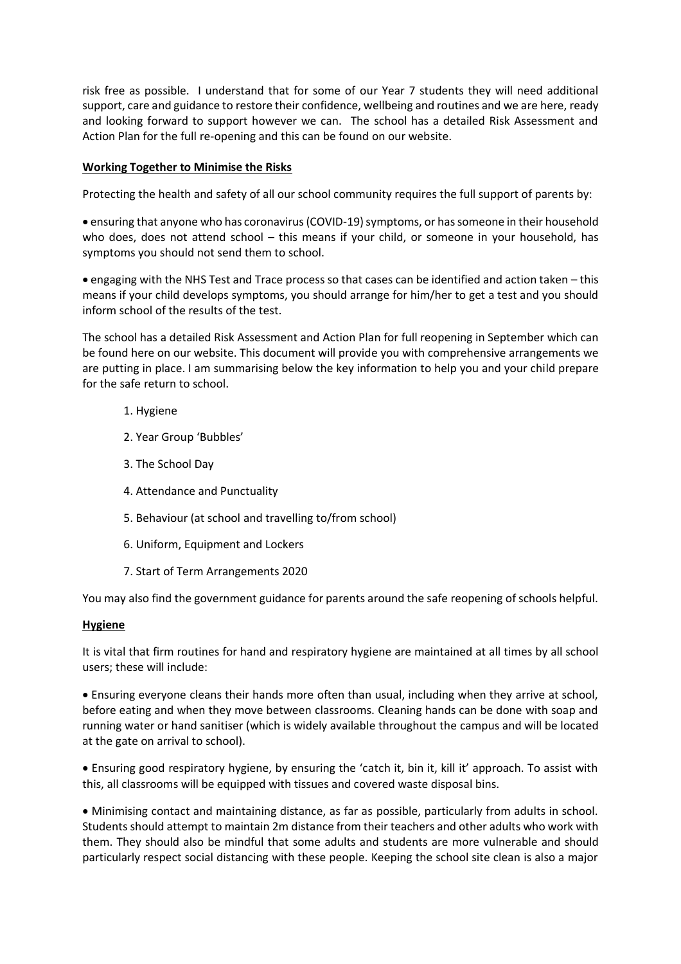risk free as possible. I understand that for some of our Year 7 students they will need additional support, care and guidance to restore their confidence, wellbeing and routines and we are here, ready and looking forward to support however we can. The school has a detailed Risk Assessment and Action Plan for the full re-opening and this can be found on our website.

## **Working Together to Minimise the Risks**

Protecting the health and safety of all our school community requires the full support of parents by:

• ensuring that anyone who has coronavirus (COVID-19) symptoms, or has someone in their household who does, does not attend school – this means if your child, or someone in your household, has symptoms you should not send them to school.

• engaging with the NHS Test and Trace process so that cases can be identified and action taken – this means if your child develops symptoms, you should arrange for him/her to get a test and you should inform school of the results of the test.

The school has a detailed Risk Assessment and Action Plan for full reopening in September which can be found here on our website. This document will provide you with comprehensive arrangements we are putting in place. I am summarising below the key information to help you and your child prepare for the safe return to school.

- 1. Hygiene
- 2. Year Group 'Bubbles'
- 3. The School Day
- 4. Attendance and Punctuality
- 5. Behaviour (at school and travelling to/from school)
- 6. Uniform, Equipment and Lockers
- 7. Start of Term Arrangements 2020

You may also find the government guidance for parents around the safe reopening of schools helpful.

### **Hygiene**

It is vital that firm routines for hand and respiratory hygiene are maintained at all times by all school users; these will include:

• Ensuring everyone cleans their hands more often than usual, including when they arrive at school, before eating and when they move between classrooms. Cleaning hands can be done with soap and running water or hand sanitiser (which is widely available throughout the campus and will be located at the gate on arrival to school).

• Ensuring good respiratory hygiene, by ensuring the 'catch it, bin it, kill it' approach. To assist with this, all classrooms will be equipped with tissues and covered waste disposal bins.

• Minimising contact and maintaining distance, as far as possible, particularly from adults in school. Students should attempt to maintain 2m distance from their teachers and other adults who work with them. They should also be mindful that some adults and students are more vulnerable and should particularly respect social distancing with these people. Keeping the school site clean is also a major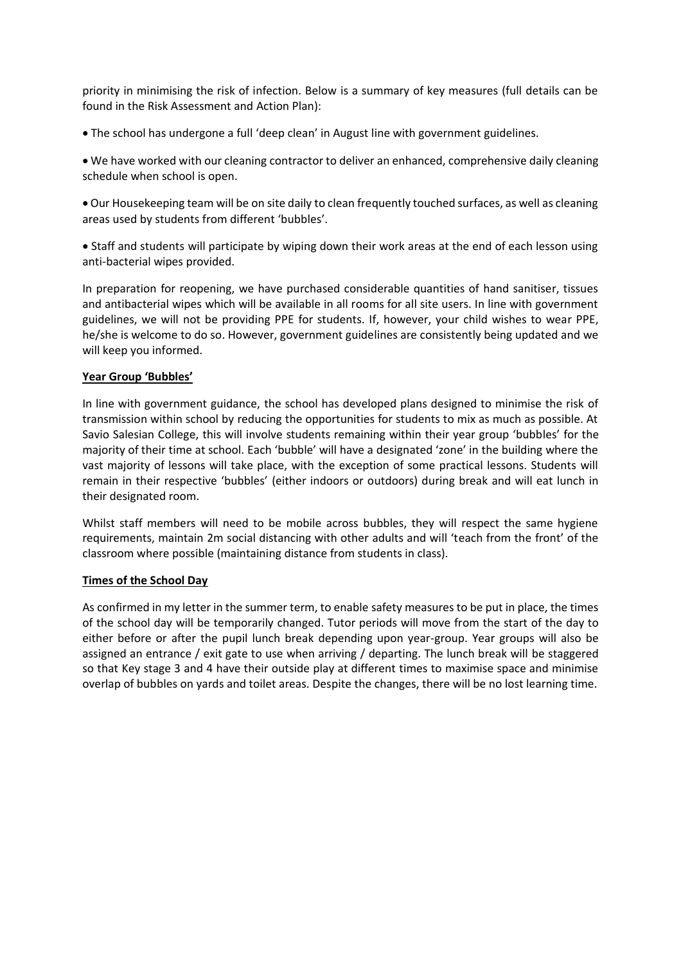priority in minimising the risk of infection. Below is a summary of key measures (full details can be found in the Risk Assessment and Action Plan):

• The school has undergone a full 'deep clean' in August line with government guidelines.

• We have worked with our cleaning contractor to deliver an enhanced, comprehensive daily cleaning schedule when school is open.

• Our Housekeeping team will be on site daily to clean frequently touched surfaces, as well as cleaning areas used by students from different 'bubbles'.

• Staff and students will participate by wiping down their work areas at the end of each lesson using anti-bacterial wipes provided.

In preparation for reopening, we have purchased considerable quantities of hand sanitiser, tissues and antibacterial wipes which will be available in all rooms for all site users. In line with government guidelines, we will not be providing PPE for students. If, however, your child wishes to wear PPE, he/she is welcome to do so. However, government guidelines are consistently being updated and we will keep you informed.

### **Year Group 'Bubbles'**

In line with government guidance, the school has developed plans designed to minimise the risk of transmission within school by reducing the opportunities for students to mix as much as possible. At Savio Salesian College, this will involve students remaining within their year group 'bubbles' for the majority of their time at school. Each 'bubble' will have a designated 'zone' in the building where the vast majority of lessons will take place, with the exception of some practical lessons. Students will remain in their respective 'bubbles' (either indoors or outdoors) during break and will eat lunch in their designated room.

Whilst staff members will need to be mobile across bubbles, they will respect the same hygiene requirements, maintain 2m social distancing with other adults and will 'teach from the front' of the classroom where possible (maintaining distance from students in class).

### **Times of the School Day**

As confirmed in my letter in the summer term, to enable safety measures to be put in place, the times of the school day will be temporarily changed. Tutor periods will move from the start of the day to either before or after the pupil lunch break depending upon year-group. Year groups will also be assigned an entrance / exit gate to use when arriving / departing. The lunch break will be staggered so that Key stage 3 and 4 have their outside play at different times to maximise space and minimise overlap of bubbles on yards and toilet areas. Despite the changes, there will be no lost learning time.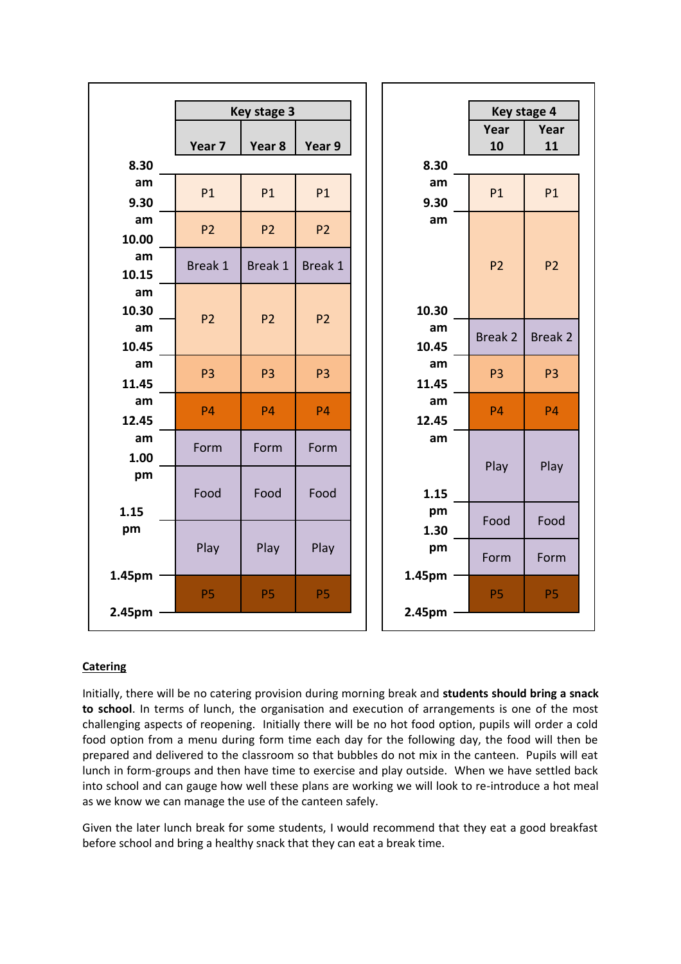

# **Catering**

Initially, there will be no catering provision during morning break and **students should bring a snack to school**. In terms of lunch, the organisation and execution of arrangements is one of the most challenging aspects of reopening. Initially there will be no hot food option, pupils will order a cold food option from a menu during form time each day for the following day, the food will then be prepared and delivered to the classroom so that bubbles do not mix in the canteen. Pupils will eat lunch in form-groups and then have time to exercise and play outside. When we have settled back into school and can gauge how well these plans are working we will look to re-introduce a hot meal as we know we can manage the use of the canteen safely.

Given the later lunch break for some students, I would recommend that they eat a good breakfast before school and bring a healthy snack that they can eat a break time.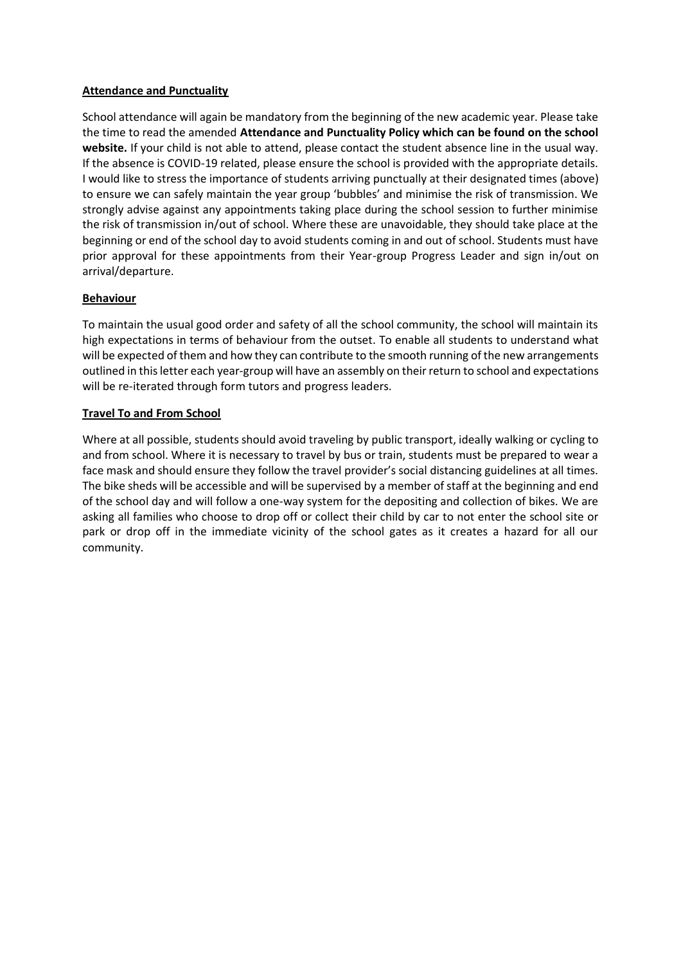## **Attendance and Punctuality**

School attendance will again be mandatory from the beginning of the new academic year. Please take the time to read the amended **Attendance and Punctuality Policy which can be found on the school website.** If your child is not able to attend, please contact the student absence line in the usual way. If the absence is COVID-19 related, please ensure the school is provided with the appropriate details. I would like to stress the importance of students arriving punctually at their designated times (above) to ensure we can safely maintain the year group 'bubbles' and minimise the risk of transmission. We strongly advise against any appointments taking place during the school session to further minimise the risk of transmission in/out of school. Where these are unavoidable, they should take place at the beginning or end of the school day to avoid students coming in and out of school. Students must have prior approval for these appointments from their Year-group Progress Leader and sign in/out on arrival/departure.

## **Behaviour**

To maintain the usual good order and safety of all the school community, the school will maintain its high expectations in terms of behaviour from the outset. To enable all students to understand what will be expected of them and how they can contribute to the smooth running of the new arrangements outlined in this letter each year-group will have an assembly on their return to school and expectations will be re-iterated through form tutors and progress leaders.

## **Travel To and From School**

Where at all possible, students should avoid traveling by public transport, ideally walking or cycling to and from school. Where it is necessary to travel by bus or train, students must be prepared to wear a face mask and should ensure they follow the travel provider's social distancing guidelines at all times. The bike sheds will be accessible and will be supervised by a member of staff at the beginning and end of the school day and will follow a one-way system for the depositing and collection of bikes. We are asking all families who choose to drop off or collect their child by car to not enter the school site or park or drop off in the immediate vicinity of the school gates as it creates a hazard for all our community.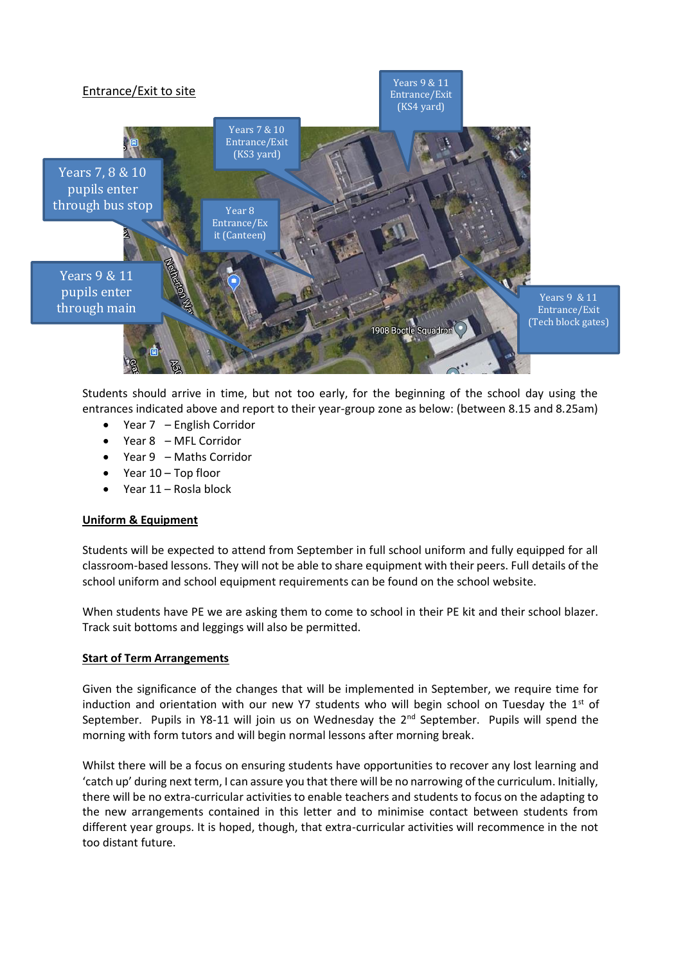

Students should arrive in time, but not too early, for the beginning of the school day using the entrances indicated above and report to their year-group zone as below: (between 8.15 and 8.25am)

- Year 7 English Corridor
- Year 8 MFL Corridor
- Year 9 Maths Corridor
- Year 10 Top floor
- Year 11 Rosla block

### **Uniform & Equipment**

Students will be expected to attend from September in full school uniform and fully equipped for all classroom-based lessons. They will not be able to share equipment with their peers. Full details of the school uniform and school equipment requirements can be found on the school website.

When students have PE we are asking them to come to school in their PE kit and their school blazer. Track suit bottoms and leggings will also be permitted.

### **Start of Term Arrangements**

Given the significance of the changes that will be implemented in September, we require time for induction and orientation with our new Y7 students who will begin school on Tuesday the  $1<sup>st</sup>$  of September. Pupils in Y8-11 will join us on Wednesday the 2<sup>nd</sup> September. Pupils will spend the morning with form tutors and will begin normal lessons after morning break.

Whilst there will be a focus on ensuring students have opportunities to recover any lost learning and 'catch up' during next term, I can assure you that there will be no narrowing of the curriculum. Initially, there will be no extra-curricular activities to enable teachers and students to focus on the adapting to the new arrangements contained in this letter and to minimise contact between students from different year groups. It is hoped, though, that extra-curricular activities will recommence in the not too distant future.